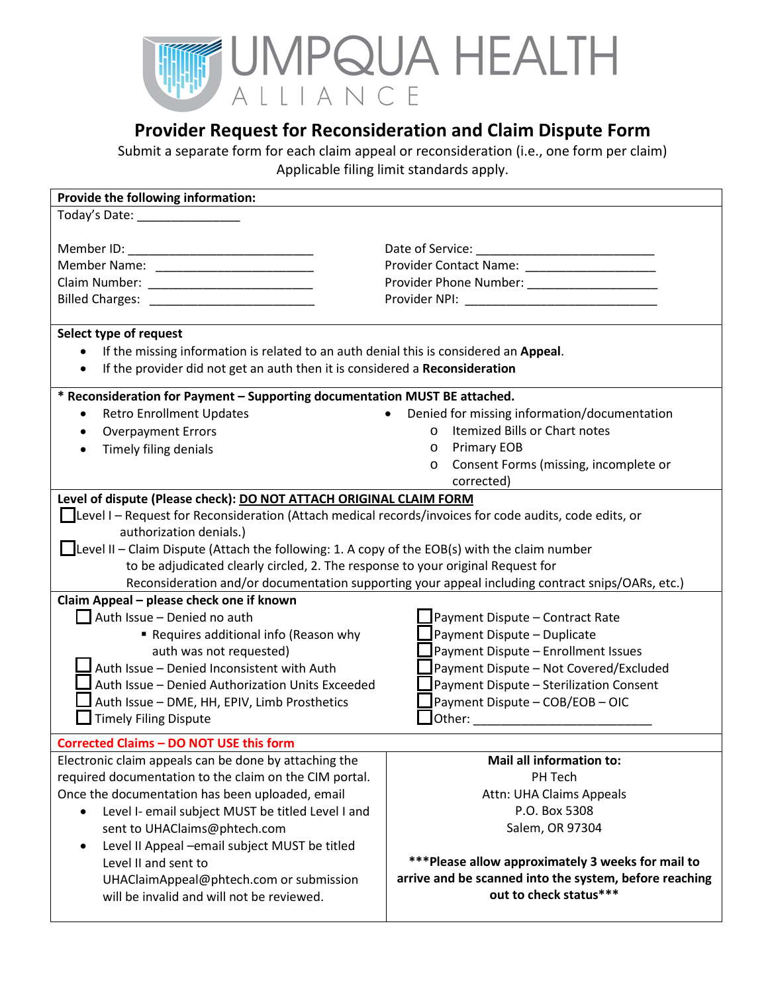

## **Provider Request for Reconsideration and Claim Dispute Form**

Submit a separate form for each claim appeal or reconsideration (i.e., one form per claim) Applicable filing limit standards apply.

| Provide the following information:                                                                           |                                                                                                                                                                                                                                |
|--------------------------------------------------------------------------------------------------------------|--------------------------------------------------------------------------------------------------------------------------------------------------------------------------------------------------------------------------------|
| Today's Date: ________________                                                                               |                                                                                                                                                                                                                                |
|                                                                                                              |                                                                                                                                                                                                                                |
|                                                                                                              |                                                                                                                                                                                                                                |
|                                                                                                              | Provider Contact Name: _____________________                                                                                                                                                                                   |
|                                                                                                              |                                                                                                                                                                                                                                |
|                                                                                                              | Provider NPI: New York Provider NPI:                                                                                                                                                                                           |
|                                                                                                              |                                                                                                                                                                                                                                |
| Select type of request                                                                                       |                                                                                                                                                                                                                                |
| If the missing information is related to an auth denial this is considered an Appeal.                        |                                                                                                                                                                                                                                |
| If the provider did not get an auth then it is considered a Reconsideration                                  |                                                                                                                                                                                                                                |
| * Reconsideration for Payment - Supporting documentation MUST BE attached.                                   |                                                                                                                                                                                                                                |
| <b>Retro Enrollment Updates</b><br>$\bullet$                                                                 | Denied for missing information/documentation<br>$\bullet$                                                                                                                                                                      |
| <b>Overpayment Errors</b><br>$\bullet$                                                                       | Itemized Bills or Chart notes<br>$\circ$                                                                                                                                                                                       |
| Timely filing denials                                                                                        | <b>Primary EOB</b><br>$\circ$                                                                                                                                                                                                  |
|                                                                                                              | Consent Forms (missing, incomplete or<br>$\circ$                                                                                                                                                                               |
|                                                                                                              | corrected)                                                                                                                                                                                                                     |
| Level of dispute (Please check): DO NOT ATTACH ORIGINAL CLAIM FORM                                           |                                                                                                                                                                                                                                |
| Level I - Request for Reconsideration (Attach medical records/invoices for code audits, code edits, or       |                                                                                                                                                                                                                                |
| authorization denials.)                                                                                      |                                                                                                                                                                                                                                |
| $\blacksquare$ Level II – Claim Dispute (Attach the following: 1. A copy of the EOB(s) with the claim number |                                                                                                                                                                                                                                |
| to be adjudicated clearly circled, 2. The response to your original Request for                              |                                                                                                                                                                                                                                |
| Reconsideration and/or documentation supporting your appeal including contract snips/OARs, etc.)             |                                                                                                                                                                                                                                |
| Claim Appeal - please check one if known                                                                     |                                                                                                                                                                                                                                |
| $\Box$ Auth Issue - Denied no auth                                                                           | Payment Dispute - Contract Rate                                                                                                                                                                                                |
| Requires additional info (Reason why                                                                         | Payment Dispute - Duplicate                                                                                                                                                                                                    |
| auth was not requested)                                                                                      | Payment Dispute - Enrollment Issues                                                                                                                                                                                            |
| Auth Issue - Denied Inconsistent with Auth                                                                   | Payment Dispute - Not Covered/Excluded                                                                                                                                                                                         |
| Auth Issue - Denied Authorization Units Exceeded                                                             | Payment Dispute - Sterilization Consent                                                                                                                                                                                        |
| Auth Issue - DME, HH, EPIV, Limb Prosthetics                                                                 | Payment Dispute - COB/EOB - OIC                                                                                                                                                                                                |
| <b>Timely Filing Dispute</b>                                                                                 | Other: when the contract of the contract of the contract of the contract of the contract of the contract of the contract of the contract of the contract of the contract of the contract of the contract of the contract of th |
|                                                                                                              |                                                                                                                                                                                                                                |
| <b>Corrected Claims - DO NOT USE this form</b>                                                               |                                                                                                                                                                                                                                |
| Electronic claim appeals can be done by attaching the                                                        | <b>Mail all information to:</b>                                                                                                                                                                                                |
| required documentation to the claim on the CIM portal.                                                       | PH Tech                                                                                                                                                                                                                        |
| Once the documentation has been uploaded, email                                                              | Attn: UHA Claims Appeals                                                                                                                                                                                                       |
| Level I- email subject MUST be titled Level I and                                                            | P.O. Box 5308                                                                                                                                                                                                                  |
| sent to UHAClaims@phtech.com                                                                                 | Salem, OR 97304                                                                                                                                                                                                                |
| Level II Appeal - email subject MUST be titled                                                               |                                                                                                                                                                                                                                |
| Level II and sent to                                                                                         | *** Please allow approximately 3 weeks for mail to                                                                                                                                                                             |
| UHAClaimAppeal@phtech.com or submission                                                                      | arrive and be scanned into the system, before reaching                                                                                                                                                                         |
| will be invalid and will not be reviewed.                                                                    | out to check status***                                                                                                                                                                                                         |
|                                                                                                              |                                                                                                                                                                                                                                |